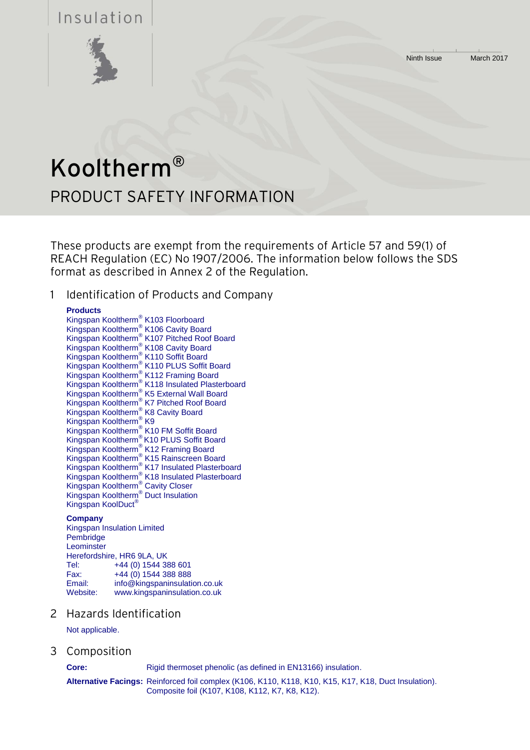Ninth Issue March 2017

# Insulation



# Kooltherm® PRODUCT SAFETY INFORMATION

These products are exempt from the requirements of Article 57 and 59(1) of REACH Regulation (EC) No 1907/2006. The information below follows the SDS format as described in Annex 2 of the Regulation.

1 Identification of Products and Company

# **Products**

Kingspan Kooltherm® K103 Floorboard Kingspan Kooltherm® K106 Cavity Board Kingspan Kooltherm® K107 Pitched Roof Board Kingspan Kooltherm® K108 Cavity Board Kingspan Kooltherm® K110 Soffit Board Kingspan Kooltherm® K110 PLUS Soffit Board Kingspan Kooltherm® K112 Framing Board Kingspan Kooltherm® K118 Insulated Plasterboard Kingspan Kooltherm® K5 External Wall Board Kingspan Kooltherm® K7 Pitched Roof Board Kingspan Kooltherm® K8 Cavity Board Kingspan Kooltherm® K9 Kingspan Kooltherm® K10 FM Soffit Board Kingspan Kooltherm® K10 PLUS Soffit Board Kingspan Kooltherm® K12 Framing Board Kingspan Kooltherm® K15 Rainscreen Board Kingspan Kooltherm® K17 Insulated Plasterboard Kingspan Kooltherm® K18 Insulated Plasterboard Kingspan Kooltherm® Cavity Closer Kingspan Kooltherm® Duct Insulation Kingspan KoolDuct®

# **Company**

Kingspan Insulation Limited Pembridge **Leominster** Herefordshire, HR6 9LA, UK Tel: +44 (0) 1544 388 601 Fax:  $+44(0)$  1544 388 888<br>Fmail:  $\frac{\text{info@kinaspaninsulati}}{1}$ info@kingspaninsulation.co.uk Website: www.kingspaninsulation.co.uk

2 Hazards Identification

Not applicable.

3 Composition

**Core:** Rigid thermoset phenolic (as defined in EN13166) insulation.

**Alternative Facings:** Reinforced foil complex (K106, K110, K118, K10, K15, K17, K18, Duct Insulation). Composite foil (K107, K108, K112, K7, K8, K12).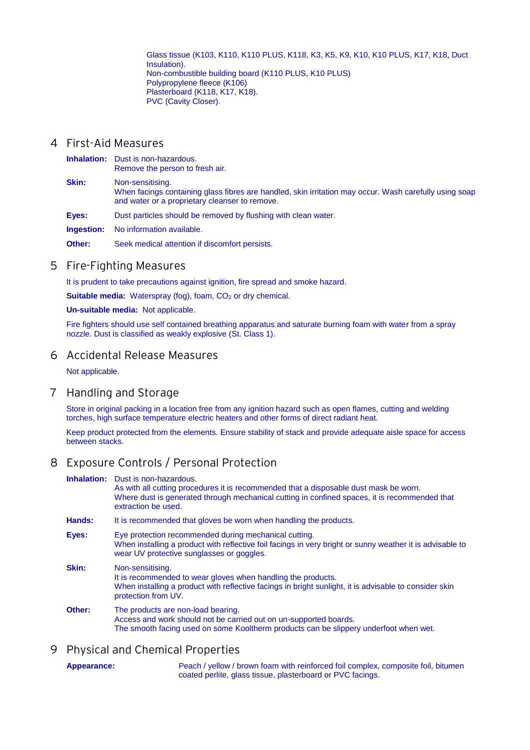Glass tissue (K103, K110, K110 PLUS, K118, K3, K5, K9, K10, K10 PLUS, K17, K18, Duct Insulation). Non-combustible building board (K110 PLUS, K10 PLUS) Polypropylene fleece (K106) Plasterboard (K118, K17, K18). PVC (Cavity Closer).

# 4 First-Aid Measures

**Inhalation:** Dust is non-hazardous. Remove the person to fresh air. **Skin:** Non-sensitising. When facings containing glass fibres are handled, skin irritation may occur. Wash carefully using soap and water or a proprietary cleanser to remove. **Eyes:** Dust particles should be removed by flushing with clean water.

**Ingestion:** No information available.

**Other:** Seek medical attention if discomfort persists.

#### 5 Fire-Fighting Measures

It is prudent to take precautions against ignition, fire spread and smoke hazard.

**Suitable media:** Waterspray (fog), foam, CO<sub>2</sub> or dry chemical.

**Un-suitable media:** Not applicable.

Fire fighters should use self contained breathing apparatus and saturate burning foam with water from a spray nozzle. Dust is classified as weakly explosive (St. Class 1).

#### 6 Accidental Release Measures

Not applicable.

#### 7 Handling and Storage

Store in original packing in a location free from any ignition hazard such as open flames, cutting and welding torches, high surface temperature electric heaters and other forms of direct radiant heat.

Keep product protected from the elements. Ensure stability of stack and provide adequate aisle space for access between stacks.

# 8 Exposure Controls / Personal Protection

**Inhalation:** Dust is non-hazardous.

| It is recommended that gloves be worn when handling the products.                                                                                                                                                 |
|-------------------------------------------------------------------------------------------------------------------------------------------------------------------------------------------------------------------|
| Eye protection recommended during mechanical cutting.<br>When installing a product with reflective foil facings in very bright or sunny weather it is advisable to<br>wear UV protective sunglasses or goggles.   |
| Non-sensitising.<br>It is recommended to wear gloves when handling the products.<br>When installing a product with reflective facings in bright sunlight, it is advisable to consider skin<br>protection from UV. |
| The products are non-load bearing.<br>Access and work should not be carried out on un-supported boards.<br>The smooth facing used on some Kooltherm products can be slippery underfoot when wet.                  |
|                                                                                                                                                                                                                   |

# 9 Physical and Chemical Properties

**Appearance:** Peach / yellow / brown foam with reinforced foil complex, composite foil, bitumen coated perlite, glass tissue, plasterboard or PVC facings.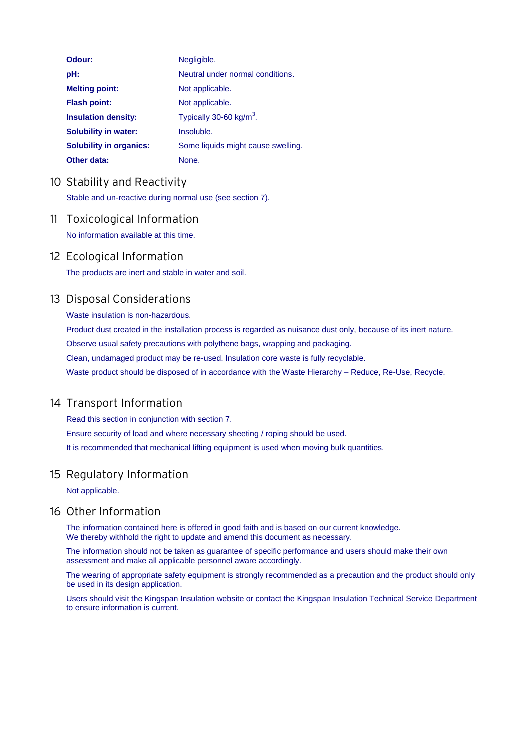| Odour:                         | Negligible.                         |
|--------------------------------|-------------------------------------|
| pH:                            | Neutral under normal conditions.    |
| <b>Melting point:</b>          | Not applicable.                     |
| <b>Flash point:</b>            | Not applicable.                     |
| <b>Insulation density:</b>     | Typically 30-60 kg/m <sup>3</sup> . |
| <b>Solubility in water:</b>    | Insoluble.                          |
| <b>Solubility in organics:</b> | Some liquids might cause swelling.  |
| Other data:                    | None.                               |

# 10 Stability and Reactivity

Stable and un-reactive during normal use (see section 7).

11 Toxicological Information No information available at this time.

# 12 Ecological Information

The products are inert and stable in water and soil.

# 13 Disposal Considerations

Waste insulation is non-hazardous.

Product dust created in the installation process is regarded as nuisance dust only, because of its inert nature. Observe usual safety precautions with polythene bags, wrapping and packaging. Clean, undamaged product may be re-used. Insulation core waste is fully recyclable.

Waste product should be disposed of in accordance with the Waste Hierarchy – Reduce, Re-Use, Recycle.

# 14 Transport Information

Read this section in conjunction with section 7. Ensure security of load and where necessary sheeting / roping should be used. It is recommended that mechanical lifting equipment is used when moving bulk quantities.

# 15 Regulatory Information

Not applicable.

# 16 Other Information

The information contained here is offered in good faith and is based on our current knowledge. We thereby withhold the right to update and amend this document as necessary.

The information should not be taken as guarantee of specific performance and users should make their own assessment and make all applicable personnel aware accordingly.

The wearing of appropriate safety equipment is strongly recommended as a precaution and the product should only be used in its design application.

Users should visit the Kingspan Insulation website or contact the Kingspan Insulation Technical Service Department to ensure information is current.